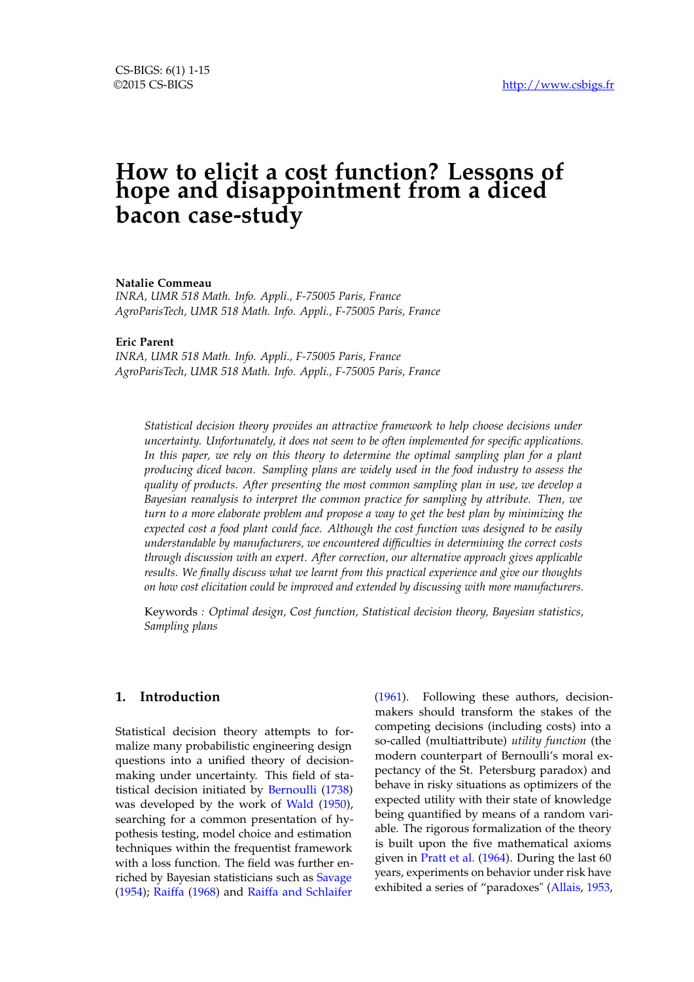# **How to elicit a cost function? Lessons of hope and disappointment from a diced bacon case-study**

**Natalie Commeau**

*INRA, UMR 518 Math. Info. Appli., F-75005 Paris, France AgroParisTech, UMR 518 Math. Info. Appli., F-75005 Paris, France*

### **Eric Parent**

*INRA, UMR 518 Math. Info. Appli., F-75005 Paris, France AgroParisTech, UMR 518 Math. Info. Appli., F-75005 Paris, France*

*Statistical decision theory provides an attractive framework to help choose decisions under uncertainty. Unfortunately, it does not seem to be often implemented for specific applications. In this paper, we rely on this theory to determine the optimal sampling plan for a plant producing diced bacon. Sampling plans are widely used in the food industry to assess the quality of products. After presenting the most common sampling plan in use, we develop a Bayesian reanalysis to interpret the common practice for sampling by attribute. Then, we turn to a more elaborate problem and propose a way to get the best plan by minimizing the expected cost a food plant could face. Although the cost function was designed to be easily understandable by manufacturers, we encountered difficulties in determining the correct costs through discussion with an expert. After correction, our alternative approach gives applicable results. We finally discuss what we learnt from this practical experience and give our thoughts on how cost elicitation could be improved and extended by discussing with more manufacturers.*

Keywords *: Optimal design, Cost function, Statistical decision theory, Bayesian statistics, Sampling plans*

## **1. Introduction**

Statistical decision theory attempts to formalize many probabilistic engineering design questions into a unified theory of decisionmaking under uncertainty. This field of statistical decision initiated by [Bernoulli](#page-13-0) [\(1738\)](#page-13-0) was developed by the work of [Wald](#page-14-0) [\(1950\)](#page-14-0), searching for a common presentation of hypothesis testing, model choice and estimation techniques within the frequentist framework with a loss function. The field was further enriched by Bayesian statisticians such as [Savage](#page-14-1) [\(1954\)](#page-14-1); [Raiffa](#page-14-2) [\(1968\)](#page-14-2) and [Raiffa and Schlaifer](#page-14-3)

[\(1961\)](#page-14-3). Following these authors, decisionmakers should transform the stakes of the competing decisions (including costs) into a so-called (multiattribute) *utility function* (the modern counterpart of Bernoulli's moral expectancy of the St. Petersburg paradox) and behave in risky situations as optimizers of the expected utility with their state of knowledge being quantified by means of a random variable. The rigorous formalization of the theory is built upon the five mathematical axioms given in [Pratt et al.](#page-14-4) [\(1964\)](#page-14-4). During the last 60 years, experiments on behavior under risk have exhibited a series of "paradoxes" [\(Allais,](#page-13-1) [1953,](#page-13-1)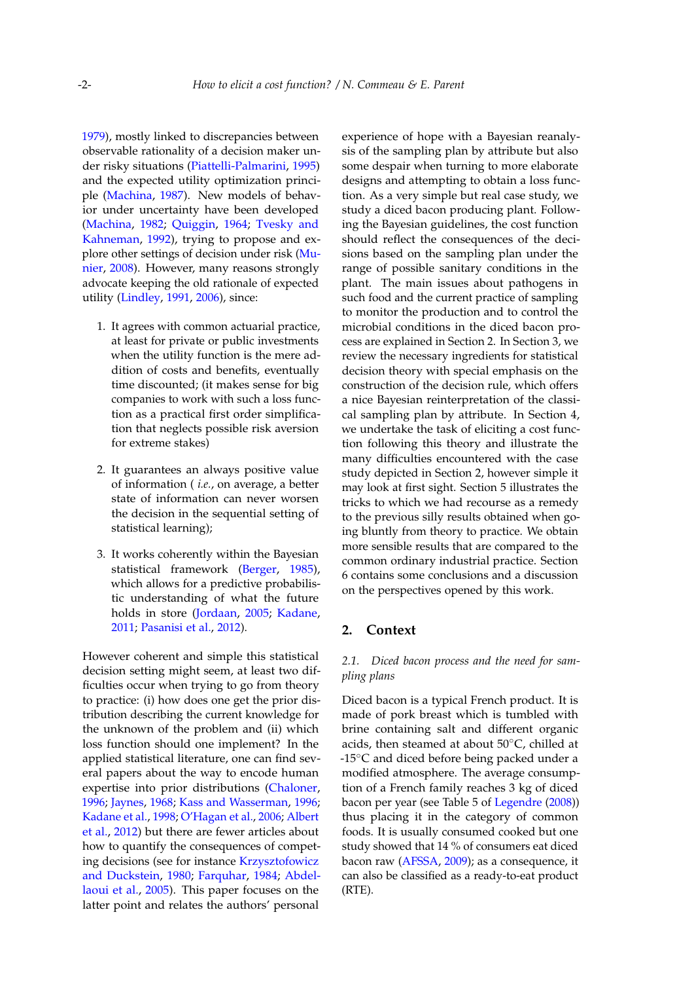[1979\)](#page-13-2), mostly linked to discrepancies between observable rationality of a decision maker under risky situations [\(Piattelli-Palmarini,](#page-14-5) [1995\)](#page-14-5) and the expected utility optimization principle [\(Machina,](#page-14-6) [1987\)](#page-14-6). New models of behavior under uncertainty have been developed [\(Machina,](#page-14-7) [1982;](#page-14-7) [Quiggin,](#page-14-8) [1964;](#page-14-8) [Tvesky and](#page-14-9) [Kahneman,](#page-14-9) [1992\)](#page-14-9), trying to propose and explore other settings of decision under risk [\(Mu](#page-14-10)[nier,](#page-14-10) [2008\)](#page-14-10). However, many reasons strongly advocate keeping the old rationale of expected utility [\(Lindley,](#page-14-11) [1991,](#page-14-11) [2006\)](#page-14-12), since:

- 1. It agrees with common actuarial practice, at least for private or public investments when the utility function is the mere addition of costs and benefits, eventually time discounted; (it makes sense for big companies to work with such a loss function as a practical first order simplification that neglects possible risk aversion for extreme stakes)
- 2. It guarantees an always positive value of information ( *i.e.*, on average, a better state of information can never worsen the decision in the sequential setting of statistical learning);
- 3. It works coherently within the Bayesian statistical framework [\(Berger,](#page-13-3) [1985\)](#page-13-3), which allows for a predictive probabilistic understanding of what the future holds in store [\(Jordaan,](#page-13-4) [2005;](#page-13-4) [Kadane,](#page-13-5) [2011;](#page-13-5) [Pasanisi et al.,](#page-14-13) [2012\)](#page-14-13).

However coherent and simple this statistical decision setting might seem, at least two difficulties occur when trying to go from theory to practice: (i) how does one get the prior distribution describing the current knowledge for the unknown of the problem and (ii) which loss function should one implement? In the applied statistical literature, one can find several papers about the way to encode human expertise into prior distributions [\(Chaloner,](#page-13-6) [1996;](#page-13-6) [Jaynes,](#page-13-7) [1968;](#page-13-7) [Kass and Wasserman,](#page-13-8) [1996;](#page-13-8) [Kadane et al.,](#page-13-9) [1998;](#page-13-9) [O'Hagan et al.,](#page-14-14) [2006;](#page-14-14) [Albert](#page-13-10) [et al.,](#page-13-10) [2012\)](#page-13-10) but there are fewer articles about how to quantify the consequences of competing decisions (see for instance [Krzysztofowicz](#page-14-15) [and Duckstein,](#page-14-15) [1980;](#page-14-15) [Farquhar,](#page-13-11) [1984;](#page-13-11) [Abdel](#page-13-12)[laoui et al.,](#page-13-12) [2005\)](#page-13-12). This paper focuses on the latter point and relates the authors' personal

experience of hope with a Bayesian reanalysis of the sampling plan by attribute but also some despair when turning to more elaborate designs and attempting to obtain a loss function. As a very simple but real case study, we study a diced bacon producing plant. Following the Bayesian guidelines, the cost function should reflect the consequences of the decisions based on the sampling plan under the range of possible sanitary conditions in the plant. The main issues about pathogens in such food and the current practice of sampling to monitor the production and to control the microbial conditions in the diced bacon process are explained in Section [2.](#page-1-0) In Section [3,](#page-3-0) we review the necessary ingredients for statistical decision theory with special emphasis on the construction of the decision rule, which offers a nice Bayesian reinterpretation of the classical sampling plan by attribute. In Section [4,](#page-7-0) we undertake the task of eliciting a cost function following this theory and illustrate the many difficulties encountered with the case study depicted in Section [2,](#page-1-0) however simple it may look at first sight. Section [5](#page-10-0) illustrates the tricks to which we had recourse as a remedy to the previous silly results obtained when going bluntly from theory to practice. We obtain more sensible results that are compared to the common ordinary industrial practice. Section [6](#page-11-0) contains some conclusions and a discussion on the perspectives opened by this work.

### <span id="page-1-0"></span>**2. Context**

## *2.1. Diced bacon process and the need for sampling plans*

Diced bacon is a typical French product. It is made of pork breast which is tumbled with brine containing salt and different organic acids, then steamed at about 50◦C, chilled at -15◦C and diced before being packed under a modified atmosphere. The average consumption of a French family reaches 3 kg of diced bacon per year (see Table 5 of [Legendre](#page-14-16) [\(2008\)](#page-14-16)) thus placing it in the category of common foods. It is usually consumed cooked but one study showed that 14 % of consumers eat diced bacon raw [\(AFSSA,](#page-13-13) [2009\)](#page-13-13); as a consequence, it can also be classified as a ready-to-eat product (RTE).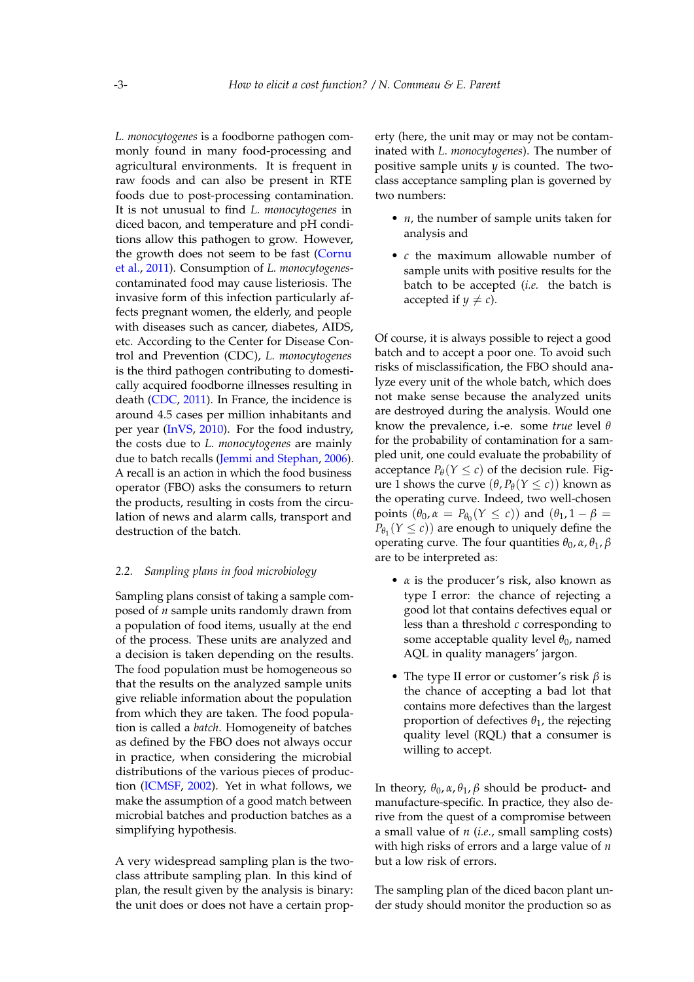*L. monocytogenes* is a foodborne pathogen commonly found in many food-processing and agricultural environments. It is frequent in raw foods and can also be present in RTE foods due to post-processing contamination. It is not unusual to find *L. monocytogenes* in diced bacon, and temperature and pH conditions allow this pathogen to grow. However, the growth does not seem to be fast [\(Cornu](#page-13-14) [et al.,](#page-13-14) [2011\)](#page-13-14). Consumption of *L. monocytogenes*contaminated food may cause listeriosis. The invasive form of this infection particularly affects pregnant women, the elderly, and people with diseases such as cancer, diabetes, AIDS, etc. According to the Center for Disease Control and Prevention (CDC), *L. monocytogenes* is the third pathogen contributing to domestically acquired foodborne illnesses resulting in death [\(CDC,](#page-13-15) [2011\)](#page-13-15). In France, the incidence is around 4.5 cases per million inhabitants and per year [\(InVS,](#page-13-16) [2010\)](#page-13-16). For the food industry, the costs due to *L. monocytogenes* are mainly due to batch recalls [\(Jemmi and Stephan,](#page-13-17) [2006\)](#page-13-17). A recall is an action in which the food business operator (FBO) asks the consumers to return the products, resulting in costs from the circulation of news and alarm calls, transport and destruction of the batch.

### *2.2. Sampling plans in food microbiology*

Sampling plans consist of taking a sample composed of *n* sample units randomly drawn from a population of food items, usually at the end of the process. These units are analyzed and a decision is taken depending on the results. The food population must be homogeneous so that the results on the analyzed sample units give reliable information about the population from which they are taken. The food population is called a *batch*. Homogeneity of batches as defined by the FBO does not always occur in practice, when considering the microbial distributions of the various pieces of production [\(ICMSF,](#page-13-18) [2002\)](#page-13-18). Yet in what follows, we make the assumption of a good match between microbial batches and production batches as a simplifying hypothesis.

A very widespread sampling plan is the twoclass attribute sampling plan. In this kind of plan, the result given by the analysis is binary: the unit does or does not have a certain property (here, the unit may or may not be contaminated with *L. monocytogenes*). The number of positive sample units *y* is counted. The twoclass acceptance sampling plan is governed by two numbers:

- *n*, the number of sample units taken for analysis and
- *c* the maximum allowable number of sample units with positive results for the batch to be accepted (*i.e.* the batch is accepted if  $y \neq c$ ).

Of course, it is always possible to reject a good batch and to accept a poor one. To avoid such risks of misclassification, the FBO should analyze every unit of the whole batch, which does not make sense because the analyzed units are destroyed during the analysis. Would one know the prevalence, i.-e. some *true* level *θ* for the probability of contamination for a sampled unit, one could evaluate the probability of acceptance  $P_{\theta}(Y \leq c)$  of the decision rule. Fig-ure [1](#page-3-1) shows the curve  $(θ, P_θ(Y ≤ c))$  known as the operating curve. Indeed, two well-chosen points  $(\theta_0, \alpha = P_{\theta_0}(Y \leq c))$  and  $(\theta_1, 1 - \beta =$  $P_{\theta_1}(Y \leq c)$  are enough to uniquely define the operating curve. The four quantities  $θ_0$ ,  $α$ ,  $θ_1$ ,  $β$ are to be interpreted as:

- *α* is the producer's risk, also known as type I error: the chance of rejecting a good lot that contains defectives equal or less than a threshold *c* corresponding to some acceptable quality level θ<sub>0</sub>, named AQL in quality managers' jargon.
- The type II error or customer's risk *β* is the chance of accepting a bad lot that contains more defectives than the largest proportion of defectives *θ*1, the rejecting quality level (RQL) that a consumer is willing to accept.

In theory,  $θ_0$ ,  $α$ ,  $θ_1$ ,  $β$  should be product- and manufacture-specific. In practice, they also derive from the quest of a compromise between a small value of *n* (*i.e.*, small sampling costs) with high risks of errors and a large value of *n* but a low risk of errors.

The sampling plan of the diced bacon plant under study should monitor the production so as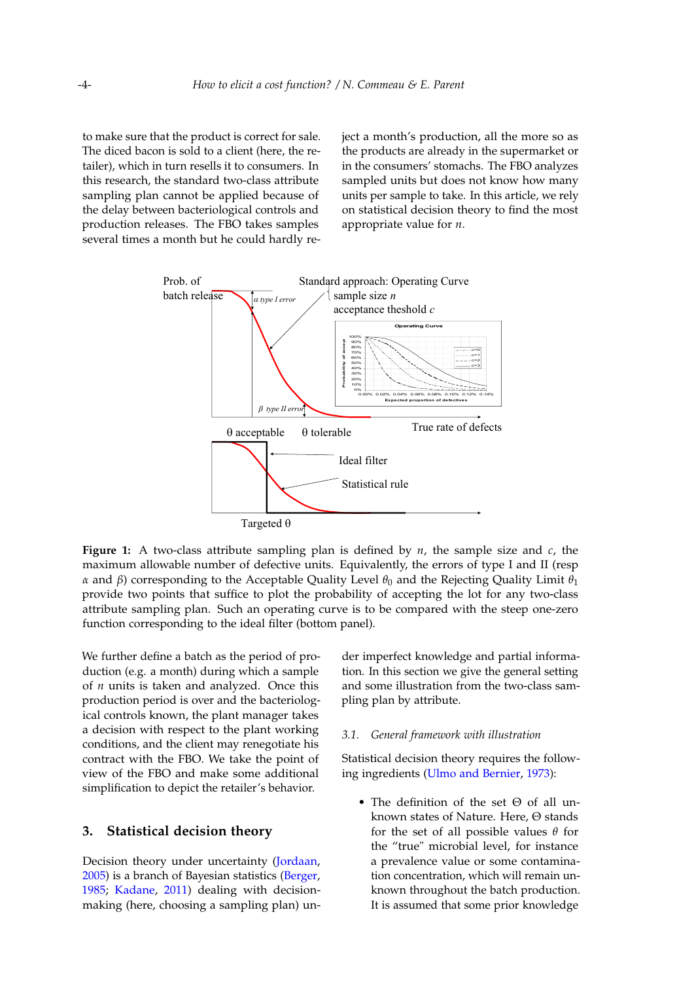to make sure that the product is correct for sale. The diced bacon is sold to a client (here, the retailer), which in turn resells it to consumers. In this research, the standard two-class attribute sampling plan cannot be applied because of the delay between bacteriological controls and production releases. The FBO takes samples several times a month but he could hardly reject a month's production, all the more so as the products are already in the supermarket or in the consumers' stomachs. The FBO analyzes sampled units but does not know how many units per sample to take. In this article, we rely on statistical decision theory to find the most appropriate value for *n*.

<span id="page-3-1"></span>

**Figure 1:** A two-class attribute sampling plan is defined by *n*, the sample size and *c*, the maximum allowable number of defective units. Equivalently, the errors of type I and II (resp *α* and *β*) corresponding to the Acceptable Quality Level  $θ_0$  and the Rejecting Quality Limit  $θ_1$ provide two points that suffice to plot the probability of accepting the lot for any two-class attribute sampling plan. Such an operating curve is to be compared with the steep one-zero function corresponding to the ideal filter (bottom panel).

We further define a batch as the period of production (e.g. a month) during which a sample of *n* units is taken and analyzed. Once this production period is over and the bacteriological controls known, the plant manager takes a decision with respect to the plant working conditions, and the client may renegotiate his contract with the FBO. We take the point of view of the FBO and make some additional simplification to depict the retailer's behavior.

### <span id="page-3-0"></span>**3. Statistical decision theory**

Decision theory under uncertainty [\(Jordaan,](#page-13-4) [2005\)](#page-13-4) is a branch of Bayesian statistics [\(Berger,](#page-13-3) [1985;](#page-13-3) [Kadane,](#page-13-5) [2011\)](#page-13-5) dealing with decisionmaking (here, choosing a sampling plan) un-

der imperfect knowledge and partial information. In this section we give the general setting and some illustration from the two-class sampling plan by attribute.

### *3.1. General framework with illustration*

Statistical decision theory requires the following ingredients [\(Ulmo and Bernier,](#page-14-17) [1973\)](#page-14-17):

• The definition of the set Θ of all unknown states of Nature. Here, Θ stands for the set of all possible values *θ* for the "true" microbial level, for instance a prevalence value or some contamination concentration, which will remain unknown throughout the batch production. It is assumed that some prior knowledge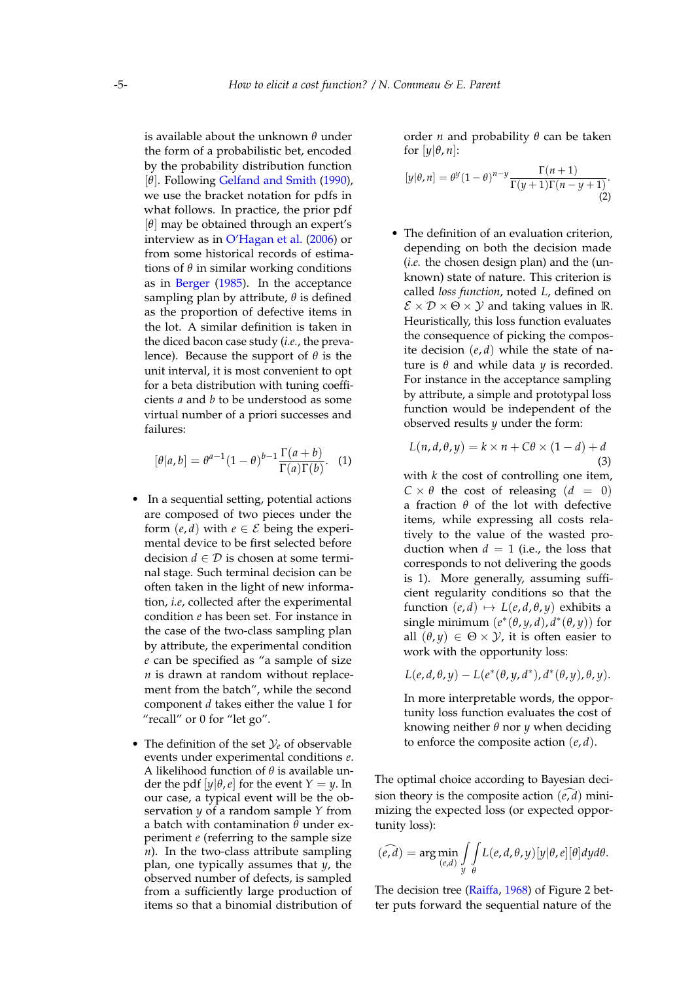is available about the unknown *θ* under the form of a probabilistic bet, encoded by the probability distribution function [*θ*]. Following [Gelfand and Smith](#page-13-19) [\(1990\)](#page-13-19), we use the bracket notation for pdfs in what follows. In practice, the prior pdf [*θ*] may be obtained through an expert's interview as in [O'Hagan et al.](#page-14-14) [\(2006\)](#page-14-14) or from some historical records of estimations of *θ* in similar working conditions as in [Berger](#page-13-3) [\(1985\)](#page-13-3). In the acceptance sampling plan by attribute, *θ* is defined as the proportion of defective items in the lot. A similar definition is taken in the diced bacon case study (*i.e.*, the prevalence). Because the support of *θ* is the unit interval, it is most convenient to opt for a beta distribution with tuning coefficients *a* and *b* to be understood as some virtual number of a priori successes and failures:

<span id="page-4-0"></span>
$$
[\theta|a,b] = \theta^{a-1}(1-\theta)^{b-1}\frac{\Gamma(a+b)}{\Gamma(a)\Gamma(b)}.
$$
 (1)

- In a sequential setting, potential actions are composed of two pieces under the form  $(e, d)$  with  $e \in \mathcal{E}$  being the experimental device to be first selected before decision  $d \in \mathcal{D}$  is chosen at some terminal stage. Such terminal decision can be often taken in the light of new information, *i.e*, collected after the experimental condition *e* has been set. For instance in the case of the two-class sampling plan by attribute, the experimental condition *e* can be specified as "a sample of size *n* is drawn at random without replacement from the batch", while the second component *d* takes either the value 1 for "recall" or 0 for "let go".
- The definition of the set  $\mathcal{Y}_e$  of observable events under experimental conditions *e*. A likelihood function of *θ* is available under the pdf  $[y|\theta, e]$  for the event  $Y = y$ . In our case, a typical event will be the observation *y* of a random sample *Y* from a batch with contamination *θ* under experiment *e* (referring to the sample size *n*). In the two-class attribute sampling plan, one typically assumes that *y*, the observed number of defects, is sampled from a sufficiently large production of items so that a binomial distribution of

<span id="page-4-2"></span>order *n* and probability *θ* can be taken for  $[y|\theta, n]$ :

$$
[y|\theta,n] = \theta^y(1-\theta)^{n-y} \frac{\Gamma(n+1)}{\Gamma(y+1)\Gamma(n-y+1)}.
$$
\n(2)

• The definition of an evaluation criterion, depending on both the decision made (*i.e.* the chosen design plan) and the (unknown) state of nature. This criterion is called *loss function*, noted *L*, defined on  $\mathcal{E} \times \mathcal{D} \times \Theta \times \mathcal{Y}$  and taking values in **R**. Heuristically, this loss function evaluates the consequence of picking the composite decision (*e*, *d*) while the state of nature is *θ* and while data *y* is recorded. For instance in the acceptance sampling by attribute, a simple and prototypal loss function would be independent of the observed results *y* under the form:

<span id="page-4-1"></span>
$$
L(n, d, \theta, y) = k \times n + C\theta \times (1 - d) + d
$$
\n(3)

with *k* the cost of controlling one item,  $C \times \theta$  the cost of releasing  $(d = 0)$ a fraction *θ* of the lot with defective items, while expressing all costs relatively to the value of the wasted production when  $d = 1$  (i.e., the loss that corresponds to not delivering the goods is 1). More generally, assuming sufficient regularity conditions so that the function  $(e, d) \mapsto L(e, d, \theta, \gamma)$  exhibits a single minimum  $(e^*(\theta, y, d), d^*(\theta, y))$  for all  $(\theta, y) \in \Theta \times \mathcal{Y}$ , it is often easier to work with the opportunity loss:

$$
L(e,d,\theta,y)-L(e^*(\theta,y,d^*),d^*(\theta,y),\theta,y).
$$

In more interpretable words, the opportunity loss function evaluates the cost of knowing neither *θ* nor *y* when deciding to enforce the composite action (*e*, *d*).

The optimal choice according to Bayesian decision theory is the composite action  $(\tilde{e}, \tilde{d})$  minimizing the expected loss (or expected opportunity loss):

$$
(\widehat{e,d}) = \arg\min_{(e,d)} \int_{y} \int_{\theta} L(e,d,\theta,y) [y|\theta,e][\theta] dy d\theta.
$$

The decision tree [\(Raiffa,](#page-14-2) [1968\)](#page-14-2) of Figure [2](#page-6-0) better puts forward the sequential nature of the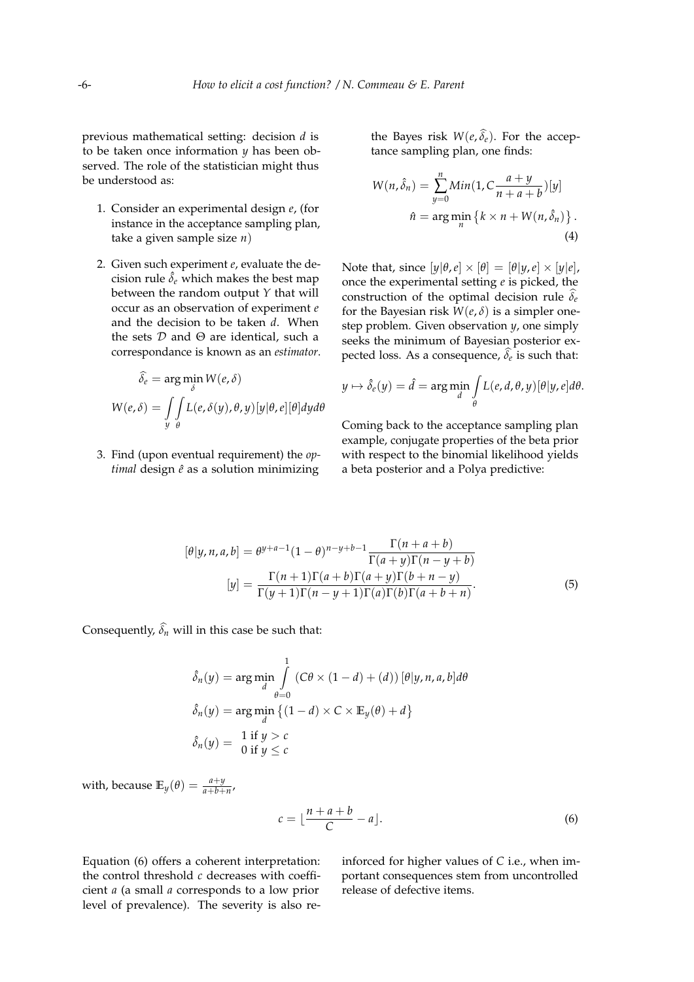previous mathematical setting: decision *d* is to be taken once information *y* has been observed. The role of the statistician might thus be understood as:

- 1. Consider an experimental design *e*, (for instance in the acceptance sampling plan, take a given sample size *n*)
- 2. Given such experiment *e*, evaluate the decision rule  $\hat{\delta}_e$  which makes the best map between the random output *Y* that will occur as an observation of experiment *e* and the decision to be taken *d*. When the sets  $D$  and  $\Theta$  are identical, such a correspondance is known as an *estimator*.

$$
\widehat{\delta_e} = \arg\min_{\delta} W(e, \delta)
$$

$$
W(e, \delta) = \iint_{y} L(e, \delta(y), \theta, y) [y | \theta, e] [\theta] dy d\theta
$$

3. Find (upon eventual requirement) the *optimal* design  $\hat{e}$  as a solution minimizing the Bayes risk  $W(e, \widehat{\delta}_e)$ . For the acceptance sampling plan, one finds:

<span id="page-5-1"></span>
$$
W(n,\hat{\delta}_n) = \sum_{y=0}^n Min(1, C \frac{a+y}{n+a+b})[y]
$$

$$
\hat{n} = \arg\min_n \{k \times n + W(n, \hat{\delta}_n)\}.
$$

$$
(4)
$$

Note that, since  $[y|\theta, e] \times [\theta] = [\theta|y, e] \times [y|e]$ , once the experimental setting *e* is picked, the construction of the optimal decision rule  $\delta_e$ for the Bayesian risk  $W(e, \delta)$  is a simpler onestep problem. Given observation *y*, one simply seeks the minimum of Bayesian posterior ex $p$ ected loss. As a consequence*,*  $\delta_e$  is such that:

$$
y \mapsto \hat{\delta}_e(y) = \hat{d} = \arg\min_{d} \int_{\theta} L(e, d, \theta, y) [\theta | y, e] d\theta.
$$

<span id="page-5-2"></span>Coming back to the acceptance sampling plan example, conjugate properties of the beta prior with respect to the binomial likelihood yields a beta posterior and a Polya predictive:

$$
[\theta|y,n,a,b] = \theta^{y+a-1}(1-\theta)^{n-y+b-1} \frac{\Gamma(n+a+b)}{\Gamma(a+y)\Gamma(n-y+b)}
$$

$$
[y] = \frac{\Gamma(n+1)\Gamma(a+b)\Gamma(a+y)\Gamma(b+n-y)}{\Gamma(y+1)\Gamma(n-y+1)\Gamma(a)\Gamma(b)\Gamma(a+b+n)}.
$$
(5)

Consequently,  $\widehat{\delta_n}$  will in this case be such that:

$$
\hat{\delta}_n(y) = \underset{d}{\arg\min} \int_{\theta=0}^1 (C\theta \times (1-d) + (d)) [\theta | y, n, a, b] d\theta
$$

$$
\hat{\delta}_n(y) = \underset{d}{\arg\min} \left\{ (1-d) \times C \times \mathbb{E}_y(\theta) + d \right\}
$$

$$
\hat{\delta}_n(y) = \frac{1 \text{ if } y > c}{0 \text{ if } y \le c}
$$

with, because  $\mathbb{E}_y(\theta) = \frac{a+y}{a+b+n}$ ,

<span id="page-5-0"></span>
$$
c = \lfloor \frac{n+a+b}{C} - a \rfloor. \tag{6}
$$

Equation [\(6\)](#page-5-0) offers a coherent interpretation: the control threshold *c* decreases with coefficient *a* (a small *a* corresponds to a low prior level of prevalence). The severity is also reinforced for higher values of *C* i.e., when important consequences stem from uncontrolled release of defective items.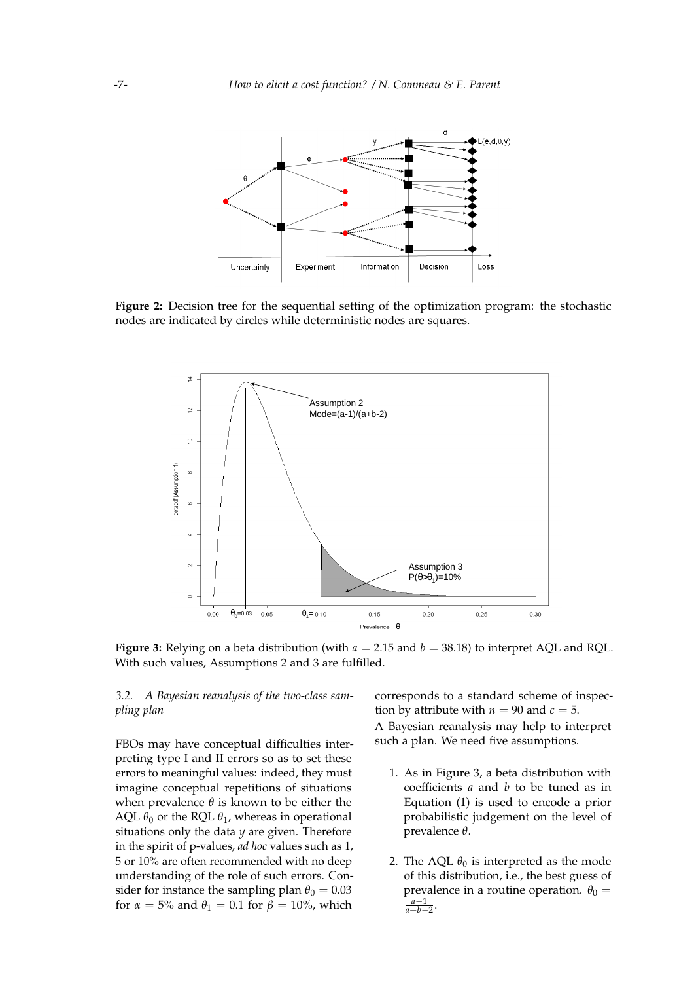<span id="page-6-0"></span>

**Figure 2:** Decision tree for the sequential setting of the optimization program: the stochastic nodes are indicated by circles while deterministic nodes are squares.

<span id="page-6-1"></span>

**Figure 3:** Relying on a beta distribution (with *a* = 2.15 and *b* = 38.18) to interpret AQL and RQL. With such values, Assumptions 2 and 3 are fulfilled.

*3.2. A Bayesian reanalysis of the two-class sampling plan*

FBOs may have conceptual difficulties interpreting type I and II errors so as to set these errors to meaningful values: indeed, they must imagine conceptual repetitions of situations when prevalence *θ* is known to be either the AQL  $\theta_0$  or the RQL  $\theta_1$ , whereas in operational situations only the data *y* are given. Therefore in the spirit of p-values, *ad hoc* values such as 1, 5 or 10% are often recommended with no deep understanding of the role of such errors. Consider for instance the sampling plan  $\theta_0 = 0.03$ for  $\alpha = 5\%$  and  $\theta_1 = 0.1$  for  $\beta = 10\%$ , which

corresponds to a standard scheme of inspection by attribute with  $n = 90$  and  $c = 5$ . A Bayesian reanalysis may help to interpret such a plan. We need five assumptions.

- 1. As in Figure [3,](#page-6-1) a beta distribution with coefficients *a* and *b* to be tuned as in Equation [\(1\)](#page-4-0) is used to encode a prior probabilistic judgement on the level of prevalence *θ*.
- 2. The AQL  $\theta_0$  is interpreted as the mode of this distribution, i.e., the best guess of prevalence in a routine operation.  $\theta_0 =$  $\frac{a-1}{a+b-2}$ .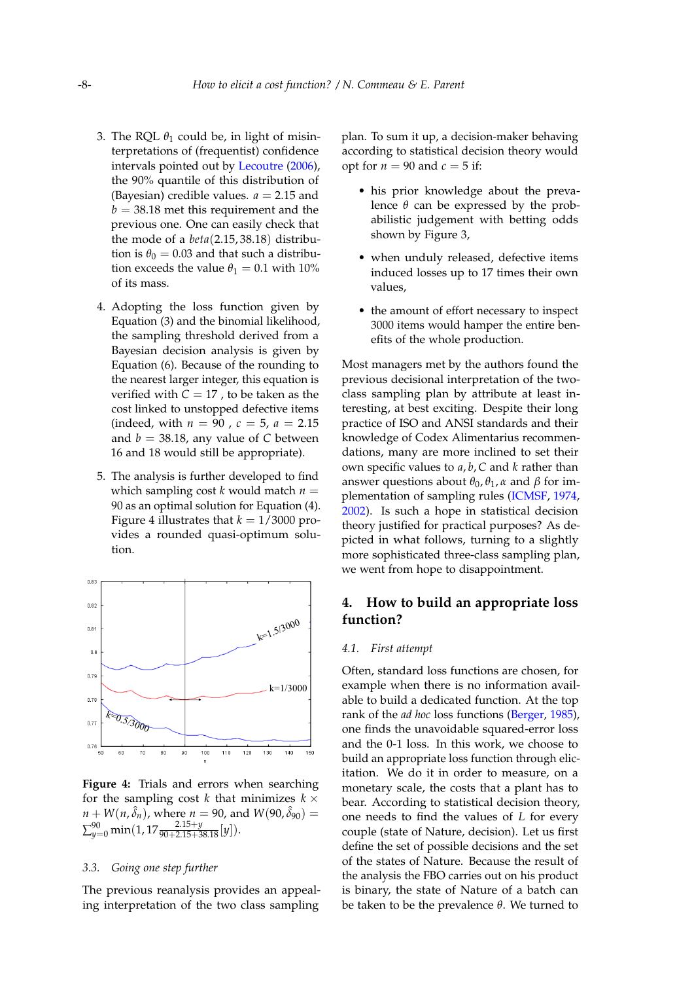- 3. The RQL  $\theta_1$  could be, in light of misinterpretations of (frequentist) confidence intervals pointed out by [Lecoutre](#page-14-18) [\(2006\)](#page-14-18), the 90% quantile of this distribution of (Bayesian) credible values.  $a = 2.15$  and  $b = 38.18$  met this requirement and the previous one. One can easily check that the mode of a *beta*(2.15, 38.18) distribution is  $\theta_0 = 0.03$  and that such a distribution exceeds the value  $\theta_1 = 0.1$  with 10% of its mass.
- 4. Adopting the loss function given by Equation [\(3\)](#page-4-1) and the binomial likelihood, the sampling threshold derived from a Bayesian decision analysis is given by Equation [\(6\)](#page-5-0). Because of the rounding to the nearest larger integer, this equation is verified with  $C = 17$ , to be taken as the cost linked to unstopped defective items (indeed, with  $n = 90$ ,  $c = 5$ ,  $a = 2.15$ and  $b = 38.18$ , any value of C between 16 and 18 would still be appropriate).
- 5. The analysis is further developed to find which sampling cost  $k$  would match  $n =$ 90 as an optimal solution for Equation [\(4\)](#page-5-1). Figure [4](#page-7-1) illustrates that  $k = 1/3000$  provides a rounded quasi-optimum solution.

<span id="page-7-1"></span>

**Figure 4:** Trials and errors when searching for the sampling cost *k* that minimizes  $k \times$  $n + W(n, \hat{\delta}_n)$ , where  $n = 90$ , and  $W(90, \hat{\delta}_{90}) =$  $\sum_{y=0}^{90}$  min(1, 17 $\frac{2.15+y}{90+2.15+38.18}[y]$ ).

### *3.3. Going one step further*

The previous reanalysis provides an appealing interpretation of the two class sampling plan. To sum it up, a decision-maker behaving according to statistical decision theory would opt for  $n = 90$  and  $c = 5$  if:

- his prior knowledge about the prevalence  $\theta$  can be expressed by the probabilistic judgement with betting odds shown by Figure [3,](#page-6-1)
- when unduly released, defective items induced losses up to 17 times their own values,
- the amount of effort necessary to inspect 3000 items would hamper the entire benefits of the whole production.

Most managers met by the authors found the previous decisional interpretation of the twoclass sampling plan by attribute at least interesting, at best exciting. Despite their long practice of ISO and ANSI standards and their knowledge of Codex Alimentarius recommendations, many are more inclined to set their own specific values to *a*, *b*, *C* and *k* rather than answer questions about  $θ_0$ ,  $θ_1$ ,  $α$  and  $β$  for implementation of sampling rules [\(ICMSF,](#page-13-20) [1974,](#page-13-20) [2002\)](#page-13-18). Is such a hope in statistical decision theory justified for practical purposes? As depicted in what follows, turning to a slightly more sophisticated three-class sampling plan, we went from hope to disappointment.

# <span id="page-7-0"></span>**4. How to build an appropriate loss function?**

### *4.1. First attempt*

Often, standard loss functions are chosen, for example when there is no information available to build a dedicated function. At the top rank of the *ad hoc* loss functions [\(Berger,](#page-13-3) [1985\)](#page-13-3), one finds the unavoidable squared-error loss and the 0-1 loss. In this work, we choose to build an appropriate loss function through elicitation. We do it in order to measure, on a monetary scale, the costs that a plant has to bear. According to statistical decision theory, one needs to find the values of *L* for every couple (state of Nature, decision). Let us first define the set of possible decisions and the set of the states of Nature. Because the result of the analysis the FBO carries out on his product is binary, the state of Nature of a batch can be taken to be the prevalence *θ*. We turned to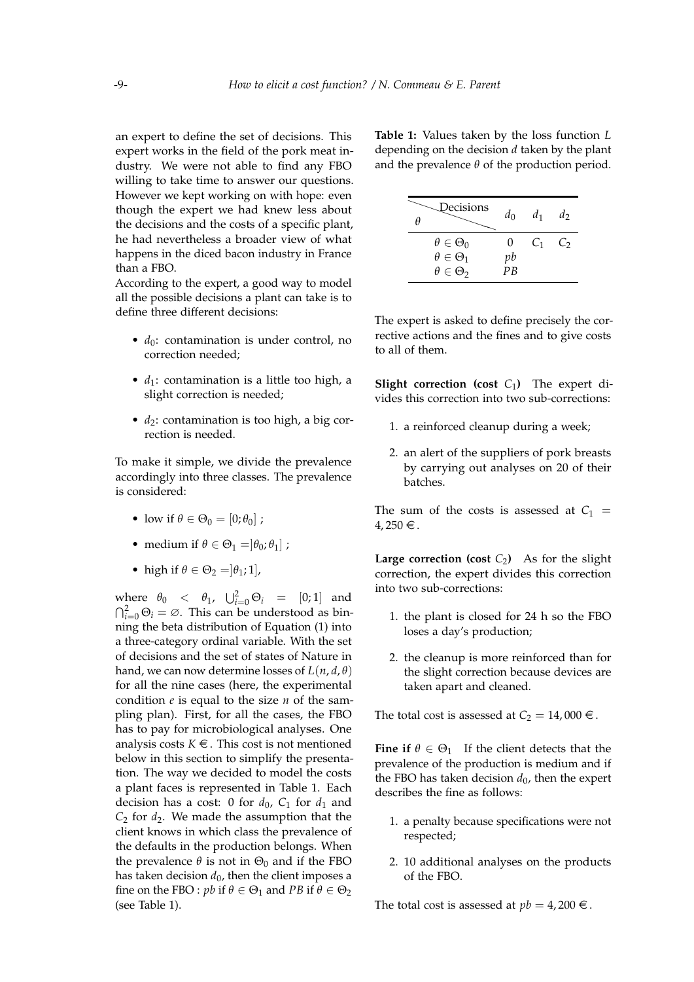an expert to define the set of decisions. This expert works in the field of the pork meat industry. We were not able to find any FBO willing to take time to answer our questions. However we kept working on with hope: even though the expert we had knew less about the decisions and the costs of a specific plant, he had nevertheless a broader view of what happens in the diced bacon industry in France than a FBO.

According to the expert, a good way to model all the possible decisions a plant can take is to define three different decisions:

- $d_0$ : contamination is under control, no correction needed;
- *d*<sub>1</sub>: contamination is a little too high, a slight correction is needed;
- *d*<sub>2</sub>: contamination is too high, a big correction is needed.

To make it simple, we divide the prevalence accordingly into three classes. The prevalence is considered:

- low if  $\theta \in \Theta_0 = [0; \theta_0]$ ;
- medium if  $\theta \in \Theta_1 = [\theta_0; \theta_1]$ ;
- high if  $\theta \in \Theta_2 = ]\theta_1; 1]$ ,

where  $\theta_0 \leq \theta_1$ ,  $\bigcup_{i=0}^2 \Theta_i = [0;1]$  and  $\bigcap_{i=0}^{2} \Theta_i = \emptyset$ . This can be understood as binning the beta distribution of Equation [\(1\)](#page-4-0) into a three-category ordinal variable. With the set of decisions and the set of states of Nature in hand, we can now determine losses of  $L(n, d, \theta)$ for all the nine cases (here, the experimental condition *e* is equal to the size *n* of the sampling plan). First, for all the cases, the FBO has to pay for microbiological analyses. One analysis costs  $K \in \mathcal{F}$ . This cost is not mentioned below in this section to simplify the presentation. The way we decided to model the costs a plant faces is represented in Table [1.](#page-8-0) Each decision has a cost: 0 for  $d_0$ ,  $C_1$  for  $d_1$  and  $C_2$  for  $d_2$ . We made the assumption that the client knows in which class the prevalence of the defaults in the production belongs. When the prevalence  $\theta$  is not in  $\Theta_0$  and if the FBO has taken decision  $d_0$ , then the client imposes a fine on the FBO : *pb* if  $\theta \in \Theta_1$  and *PB* if  $\theta \in \Theta_2$ (see Table [1\)](#page-8-0).

<span id="page-8-0"></span>**Table 1:** Values taken by the loss function *L* depending on the decision *d* taken by the plant and the prevalence  $\theta$  of the production period.

| Decisions<br>н        | $d_0$ | d <sub>1</sub> | d, |
|-----------------------|-------|----------------|----|
| $\theta \in \Theta_0$ | 0     | $C_1$          | Ċ۶ |
| $\theta \in \Theta_1$ | pb    |                |    |
| $\theta \in \Theta_2$ | ΡR    |                |    |

The expert is asked to define precisely the corrective actions and the fines and to give costs to all of them.

**Slight correction (cost**  $C_1$ ) The expert divides this correction into two sub-corrections:

- 1. a reinforced cleanup during a week;
- 2. an alert of the suppliers of pork breasts by carrying out analyses on 20 of their batches.

The sum of the costs is assessed at  $C_1$  =  $4,250 \in .$ 

**Large correction (cost**  $C_2$ ) As for the slight correction, the expert divides this correction into two sub-corrections:

- 1. the plant is closed for 24 h so the FBO loses a day's production;
- 2. the cleanup is more reinforced than for the slight correction because devices are taken apart and cleaned.

The total cost is assessed at  $C_2 = 14,000 \in$ .

**Fine if**  $\theta \in \Theta_1$  If the client detects that the prevalence of the production is medium and if the FBO has taken decision  $d_0$ , then the expert describes the fine as follows:

- 1. a penalty because specifications were not respected;
- 2. 10 additional analyses on the products of the FBO.

The total cost is assessed at  $pb = 4,200 \in$ .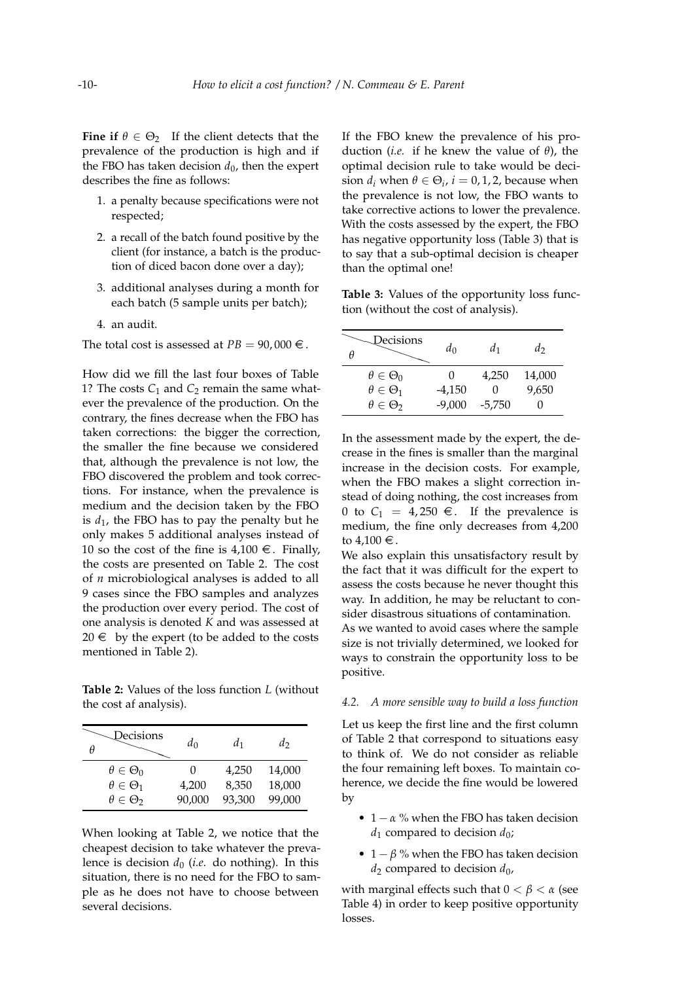**Fine if**  $\theta \in \Theta_2$  If the client detects that the prevalence of the production is high and if the FBO has taken decision  $d_0$ , then the expert describes the fine as follows:

- 1. a penalty because specifications were not respected;
- 2. a recall of the batch found positive by the client (for instance, a batch is the production of diced bacon done over a day);
- 3. additional analyses during a month for each batch (5 sample units per batch);
- 4. an audit.

The total cost is assessed at  $PB = 90,000 \in$ .

How did we fill the last four boxes of Table [1?](#page-8-0) The costs  $C_1$  and  $C_2$  remain the same whatever the prevalence of the production. On the contrary, the fines decrease when the FBO has taken corrections: the bigger the correction, the smaller the fine because we considered that, although the prevalence is not low, the FBO discovered the problem and took corrections. For instance, when the prevalence is medium and the decision taken by the FBO is  $d_1$ , the FBO has to pay the penalty but he only makes 5 additional analyses instead of 10 so the cost of the fine is  $4,100 \in$ . Finally, the costs are presented on Table [2.](#page-9-0) The cost of *n* microbiological analyses is added to all 9 cases since the FBO samples and analyzes the production over every period. The cost of one analysis is denoted *K* and was assessed at  $20 \in$  by the expert (to be added to the costs mentioned in Table [2\)](#page-9-0).

<span id="page-9-0"></span>**Table 2:** Values of the loss function *L* (without the cost af analysis).

| Decisions<br>θ        | $d_0$        | $d_1$  | $d_2$  |
|-----------------------|--------------|--------|--------|
| $\theta \in \Theta_0$ | $\mathbf{0}$ | 4,250  | 14,000 |
| $\theta \in \Theta_1$ | 4,200        | 8,350  | 18,000 |
| $\theta \in \Theta_2$ | 90,000       | 93,300 | 99,000 |

When looking at Table [2,](#page-9-0) we notice that the cheapest decision to take whatever the prevalence is decision  $d_0$  (*i.e.* do nothing). In this situation, there is no need for the FBO to sample as he does not have to choose between several decisions.

If the FBO knew the prevalence of his production (*i.e.* if he knew the value of *θ*), the optimal decision rule to take would be decision  $d_i$  when  $\theta \in \Theta_i$ ,  $i = 0, 1, 2$ , because when the prevalence is not low, the FBO wants to take corrective actions to lower the prevalence. With the costs assessed by the expert, the FBO has negative opportunity loss (Table [3\)](#page-9-1) that is to say that a sub-optimal decision is cheaper than the optimal one!

<span id="page-9-1"></span>**Table 3:** Values of the opportunity loss function (without the cost of analysis).

| Decisions<br>Η        | $d_0$    | $d_1$    | d      |
|-----------------------|----------|----------|--------|
| $\theta \in \Theta_0$ |          | 4,250    | 14,000 |
| $\theta \in \Theta_1$ | $-4,150$ | O        | 9,650  |
| $\theta \in \Theta_2$ | $-9,000$ | $-5,750$ |        |

In the assessment made by the expert, the decrease in the fines is smaller than the marginal increase in the decision costs. For example, when the FBO makes a slight correction instead of doing nothing, the cost increases from 0 to  $C_1 = 4,250 \in$ . If the prevalence is medium, the fine only decreases from 4,200 to  $4,100 \in$ .

We also explain this unsatisfactory result by the fact that it was difficult for the expert to assess the costs because he never thought this way. In addition, he may be reluctant to consider disastrous situations of contamination.

As we wanted to avoid cases where the sample size is not trivially determined, we looked for ways to constrain the opportunity loss to be positive.

### *4.2. A more sensible way to build a loss function*

Let us keep the first line and the first column of Table [2](#page-9-0) that correspond to situations easy to think of. We do not consider as reliable the four remaining left boxes. To maintain coherence, we decide the fine would be lowered by

- $1 \alpha$  % when the FBO has taken decision *d*<sup>1</sup> compared to decision *d*0;
- $1 \beta$  % when the FBO has taken decision *d*<sup>2</sup> compared to decision *d*0,

with marginal effects such that  $0 < \beta < \alpha$  (see Table [4\)](#page-10-1) in order to keep positive opportunity losses.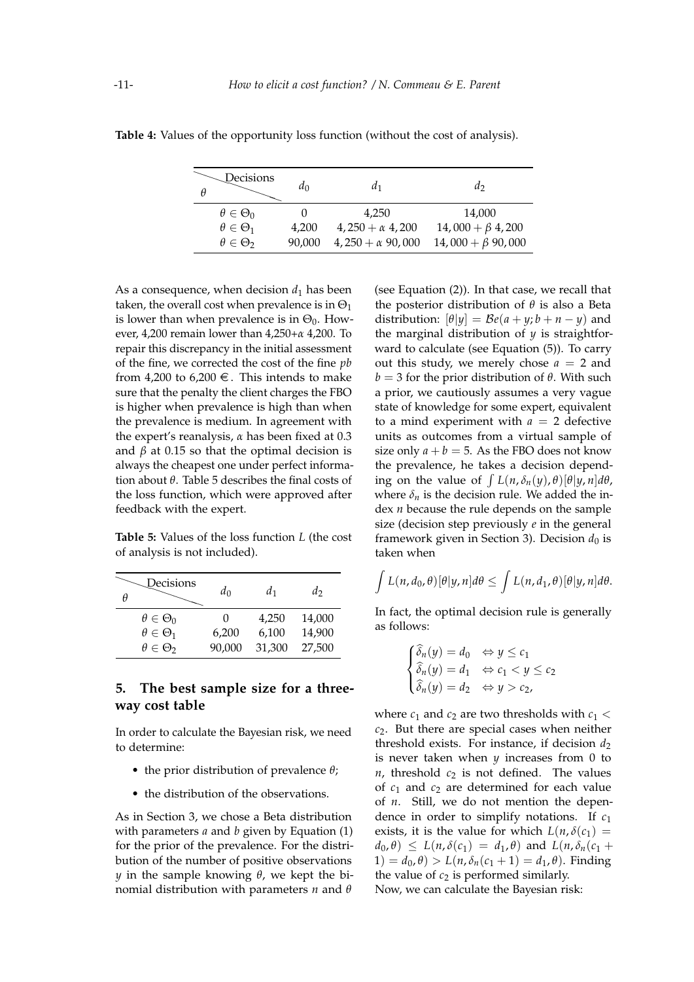| Decisions<br>θ        | $d_0$  | a1                      | $d_2$                   |
|-----------------------|--------|-------------------------|-------------------------|
| $\theta \in \Theta_0$ |        | 4.250                   | 14,000                  |
| $\theta \in \Theta_1$ | 4,200  | $4,250 + \alpha$ 4,200  | $14,000 + \beta$ 4,200  |
| $\theta \in \Theta_2$ | 90.000 | $4,250 + \alpha$ 90,000 | $14,000 + \beta$ 90,000 |

<span id="page-10-1"></span>**Table 4:** Values of the opportunity loss function (without the cost of analysis).

As a consequence, when decision  $d_1$  has been taken, the overall cost when prevalence is in  $\Theta_1$ is lower than when prevalence is in  $\Theta_0$ . However, 4,200 remain lower than 4,250+*α* 4,200. To repair this discrepancy in the initial assessment of the fine, we corrected the cost of the fine *pb* from 4,200 to 6,200  $\in$ . This intends to make sure that the penalty the client charges the FBO is higher when prevalence is high than when the prevalence is medium. In agreement with the expert's reanalysis, *α* has been fixed at 0.3 and  $β$  at 0.15 so that the optimal decision is always the cheapest one under perfect information about *θ*. Table [5](#page-10-2) describes the final costs of the loss function, which were approved after feedback with the expert.

<span id="page-10-2"></span>**Table 5:** Values of the loss function *L* (the cost of analysis is not included).

| Decisions<br>θ        | $d_0$  | $d_1$  | d2     |
|-----------------------|--------|--------|--------|
| $\theta \in \Theta_0$ |        | 4,250  | 14,000 |
| $\theta \in \Theta_1$ | 6,200  | 6,100  | 14,900 |
| $\theta \in \Theta_2$ | 90,000 | 31,300 | 27,500 |

# <span id="page-10-0"></span>**5. The best sample size for a threeway cost table**

In order to calculate the Bayesian risk, we need to determine:

- the prior distribution of prevalence *θ*;
- the distribution of the observations.

As in Section [3,](#page-3-0) we chose a Beta distribution with parameters *a* and *b* given by Equation [\(1\)](#page-4-0) for the prior of the prevalence. For the distribution of the number of positive observations *y* in the sample knowing *θ*, we kept the binomial distribution with parameters *n* and *θ*

(see Equation [\(2\)](#page-4-2)). In that case, we recall that the posterior distribution of *θ* is also a Beta distribution:  $[\theta | y] = \mathcal{B}e(a+y; b+n-y)$  and the marginal distribution of *y* is straightforward to calculate (see Equation [\(5\)](#page-5-2)). To carry out this study, we merely chose  $a = 2$  and  *for the prior distribution of <i>θ*. With such a prior, we cautiously assumes a very vague state of knowledge for some expert, equivalent to a mind experiment with  $a = 2$  defective units as outcomes from a virtual sample of size only  $a + b = 5$ . As the FBO does not know the prevalence, he takes a decision depending on the value of  $\int L(n, \delta_n(y), \theta)[\theta|y, n] d\theta$ , where  $\delta_n$  is the decision rule. We added the index *n* because the rule depends on the sample size (decision step previously *e* in the general framework given in Section [3\)](#page-3-0). Decision  $d_0$  is taken when

$$
\int L(n,d_0,\theta)[\theta|y,n]d\theta \leq \int L(n,d_1,\theta)[\theta|y,n]d\theta.
$$

In fact, the optimal decision rule is generally as follows:

$$
\begin{cases}\n\widehat{\delta}_n(y) = d_0 & \Leftrightarrow y \leq c_1 \\
\widehat{\delta}_n(y) = d_1 & \Leftrightarrow c_1 < y \leq c_2 \\
\widehat{\delta}_n(y) = d_2 & \Leftrightarrow y > c_2\n\end{cases}
$$

where  $c_1$  and  $c_2$  are two thresholds with  $c_1$  < *c*2. But there are special cases when neither threshold exists. For instance, if decision  $d_2$ is never taken when *y* increases from 0 to  $n$ , threshold  $c_2$  is not defined. The values of  $c_1$  and  $c_2$  are determined for each value of *n*. Still, we do not mention the dependence in order to simplify notations. If *c*<sup>1</sup> exists, it is the value for which  $L(n, \delta(c_1))$  $d_0$ ,  $\theta$ )  $\leq L(n, \delta(c_1) = d_1, \theta)$  and  $L(n, \delta_n(c_1 +$  $1) = d_0, \theta$  >  $L(n, \delta_n(c_1 + 1)) = d_1, \theta$ . Finding the value of  $c_2$  is performed similarly. Now, we can calculate the Bayesian risk: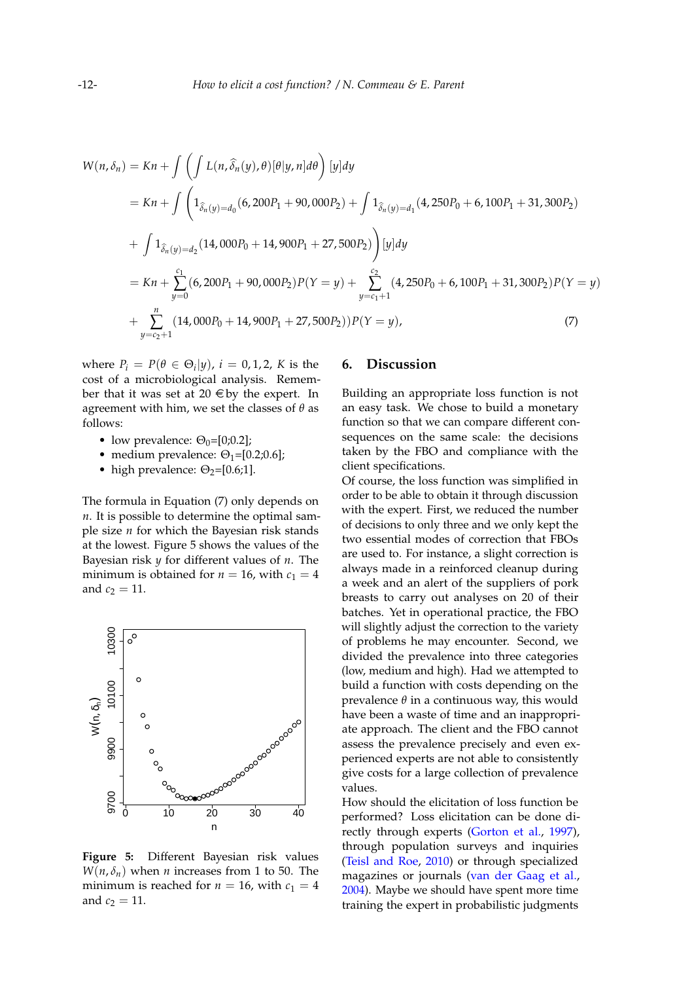$$
W(n, \delta_n) = Kn + \int \left( \int L(n, \hat{\delta}_n(y), \theta) [\theta | y, n] d\theta \right) [y] dy
$$
  
=  $Kn + \int \left( 1_{\hat{\delta}_n(y) = d_0} (6, 200P_1 + 90, 000P_2) + \int 1_{\hat{\delta}_n(y) = d_1} (4, 250P_0 + 6, 100P_1 + 31, 300P_2) \right)$   
+  $\int 1_{\hat{\delta}_n(y) = d_2} (14, 000P_0 + 14, 900P_1 + 27, 500P_2) \right) [y] dy$   
=  $Kn + \sum_{y=0}^{c_1} (6, 200P_1 + 90, 000P_2) P(Y = y) + \sum_{y=c_1+1}^{c_2} (4, 250P_0 + 6, 100P_1 + 31, 300P_2) P(Y = y)$   
+  $\sum_{y=c_2+1}^{n} (14, 000P_0 + 14, 900P_1 + 27, 500P_2)) P(Y = y),$  (7)

where  $P_i = P(\theta \in \Theta_i | y)$ ,  $i = 0, 1, 2$ , K is the cost of a microbiological analysis. Remember that it was set at 20  $\in$  by the expert. In agreement with him, we set the classes of *θ* as follows:

- low prevalence:  $\Theta_0 = [0; 0.2]$ ;
- medium prevalence:  $\Theta_1 = [0.2; 0.6]$ ;
- high prevalence:  $\Theta_2 = [0.6;1]$ .

The formula in Equation [\(7\)](#page-11-1) only depends on *n*. It is possible to determine the optimal sample size *n* for which the Bayesian risk stands at the lowest. Figure [5](#page-11-2) shows the values of the Bayesian risk *y* for different values of *n*. The minimum is obtained for  $n = 16$ , with  $c_1 = 4$ and  $c_2 = 11$ .

<span id="page-11-2"></span>

<span id="page-11-0"></span>**Figure 5:** Different Bayesian risk values  $W(n, \delta_n)$  when *n* increases from 1 to 50. The minimum is reached for  $n = 16$ , with  $c_1 = 4$ and  $c_2 = 11$ .

### <span id="page-11-1"></span>**6. Discussion**

Building an appropriate loss function is not an easy task. We chose to build a monetary function so that we can compare different consequences on the same scale: the decisions taken by the FBO and compliance with the client specifications.

Of course, the loss function was simplified in order to be able to obtain it through discussion with the expert. First, we reduced the number of decisions to only three and we only kept the two essential modes of correction that FBOs are used to. For instance, a slight correction is always made in a reinforced cleanup during a week and an alert of the suppliers of pork breasts to carry out analyses on 20 of their batches. Yet in operational practice, the FBO will slightly adjust the correction to the variety of problems he may encounter. Second, we divided the prevalence into three categories (low, medium and high). Had we attempted to build a function with costs depending on the prevalence *θ* in a continuous way, this would have been a waste of time and an inappropriate approach. The client and the FBO cannot assess the prevalence precisely and even experienced experts are not able to consistently give costs for a large collection of prevalence values.

How should the elicitation of loss function be performed? Loss elicitation can be done directly through experts [\(Gorton et al.,](#page-13-21) [1997\)](#page-13-21), through population surveys and inquiries [\(Teisl and Roe,](#page-14-19) [2010\)](#page-14-19) or through specialized magazines or journals [\(van der Gaag et al.,](#page-14-20) [2004\)](#page-14-20). Maybe we should have spent more time training the expert in probabilistic judgments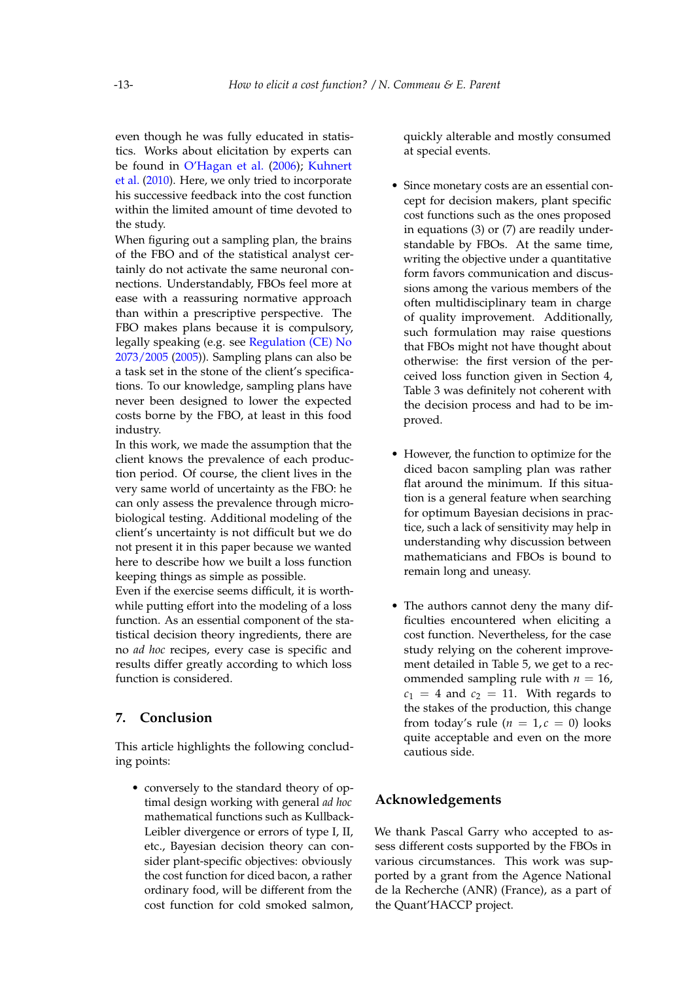even though he was fully educated in statistics. Works about elicitation by experts can be found in [O'Hagan et al.](#page-14-14) [\(2006\)](#page-14-14); [Kuhnert](#page-14-21) [et al.](#page-14-21) [\(2010\)](#page-14-21). Here, we only tried to incorporate his successive feedback into the cost function within the limited amount of time devoted to the study.

When figuring out a sampling plan, the brains of the FBO and of the statistical analyst certainly do not activate the same neuronal connections. Understandably, FBOs feel more at ease with a reassuring normative approach than within a prescriptive perspective. The FBO makes plans because it is compulsory, legally speaking (e.g. see [Regulation \(CE\) No](#page-14-22) [2073/2005](#page-14-22) [\(2005\)](#page-14-22)). Sampling plans can also be a task set in the stone of the client's specifications. To our knowledge, sampling plans have never been designed to lower the expected costs borne by the FBO, at least in this food industry.

In this work, we made the assumption that the client knows the prevalence of each production period. Of course, the client lives in the very same world of uncertainty as the FBO: he can only assess the prevalence through microbiological testing. Additional modeling of the client's uncertainty is not difficult but we do not present it in this paper because we wanted here to describe how we built a loss function keeping things as simple as possible.

Even if the exercise seems difficult, it is worthwhile putting effort into the modeling of a loss function. As an essential component of the statistical decision theory ingredients, there are no *ad hoc* recipes, every case is specific and results differ greatly according to which loss function is considered.

# **7. Conclusion**

This article highlights the following concluding points:

• conversely to the standard theory of optimal design working with general *ad hoc* mathematical functions such as Kullback-Leibler divergence or errors of type I, II, etc., Bayesian decision theory can consider plant-specific objectives: obviously the cost function for diced bacon, a rather ordinary food, will be different from the cost function for cold smoked salmon, quickly alterable and mostly consumed at special events.

- Since monetary costs are an essential concept for decision makers, plant specific cost functions such as the ones proposed in equations [\(3\)](#page-4-1) or [\(7\)](#page-11-1) are readily understandable by FBOs. At the same time, writing the objective under a quantitative form favors communication and discussions among the various members of the often multidisciplinary team in charge of quality improvement. Additionally, such formulation may raise questions that FBOs might not have thought about otherwise: the first version of the perceived loss function given in Section [4,](#page-7-0) Table [3](#page-9-1) was definitely not coherent with the decision process and had to be improved.
- However, the function to optimize for the diced bacon sampling plan was rather flat around the minimum. If this situation is a general feature when searching for optimum Bayesian decisions in practice, such a lack of sensitivity may help in understanding why discussion between mathematicians and FBOs is bound to remain long and uneasy.
- The authors cannot deny the many difficulties encountered when eliciting a cost function. Nevertheless, for the case study relying on the coherent improvement detailed in Table [5,](#page-10-2) we get to a recommended sampling rule with  $n = 16$ ,  $c_1 = 4$  and  $c_2 = 11$ . With regards to the stakes of the production, this change from today's rule  $(n = 1, c = 0)$  looks quite acceptable and even on the more cautious side.

# **Acknowledgements**

We thank Pascal Garry who accepted to assess different costs supported by the FBOs in various circumstances. This work was supported by a grant from the Agence National de la Recherche (ANR) (France), as a part of the Quant'HACCP project.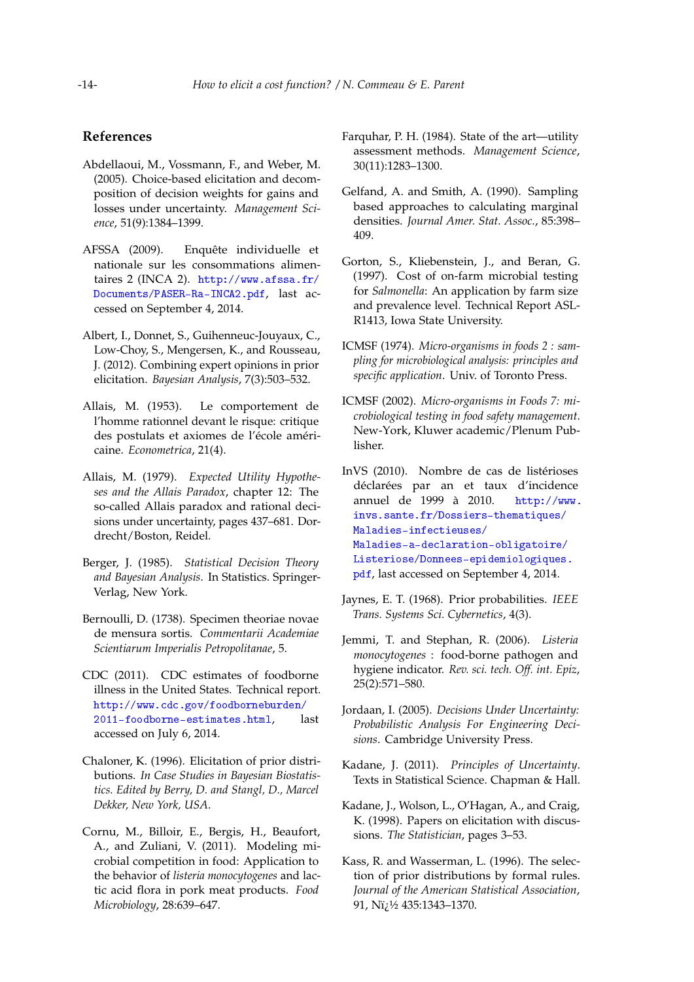## **References**

- <span id="page-13-12"></span>Abdellaoui, M., Vossmann, F., and Weber, M. (2005). Choice-based elicitation and decomposition of decision weights for gains and losses under uncertainty. *Management Science*, 51(9):1384–1399.
- <span id="page-13-13"></span>AFSSA (2009). Enquête individuelle et nationale sur les consommations alimentaires 2 (INCA 2). [http://www.afssa.fr/](http://www.afssa.fr/Documents/PASER-Ra-INCA2.pdf) [Documents/PASER-Ra-INCA2.pdf](http://www.afssa.fr/Documents/PASER-Ra-INCA2.pdf), last accessed on September 4, 2014.
- <span id="page-13-10"></span>Albert, I., Donnet, S., Guihenneuc-Jouyaux, C., Low-Choy, S., Mengersen, K., and Rousseau, J. (2012). Combining expert opinions in prior elicitation. *Bayesian Analysis*, 7(3):503–532.
- <span id="page-13-1"></span>Allais, M. (1953). Le comportement de l'homme rationnel devant le risque: critique des postulats et axiomes de l'école américaine. *Econometrica*, 21(4).
- <span id="page-13-2"></span>Allais, M. (1979). *Expected Utility Hypotheses and the Allais Paradox*, chapter 12: The so-called Allais paradox and rational decisions under uncertainty, pages 437–681. Dordrecht/Boston, Reidel.
- <span id="page-13-3"></span>Berger, J. (1985). *Statistical Decision Theory and Bayesian Analysis*. In Statistics. Springer-Verlag, New York.
- <span id="page-13-0"></span>Bernoulli, D. (1738). Specimen theoriae novae de mensura sortis. *Commentarii Academiae Scientiarum Imperialis Petropolitanae*, 5.
- <span id="page-13-15"></span>CDC (2011). CDC estimates of foodborne illness in the United States. Technical report. [http://www.cdc.gov/foodborneburden/](http://www.cdc.gov/foodborneburden/2011-foodborne-estimates.html) [2011-foodborne-estimates.html](http://www.cdc.gov/foodborneburden/2011-foodborne-estimates.html), last accessed on July 6, 2014.
- <span id="page-13-6"></span>Chaloner, K. (1996). Elicitation of prior distributions. *In Case Studies in Bayesian Biostatistics. Edited by Berry, D. and Stangl, D., Marcel Dekker, New York, USA*.
- <span id="page-13-14"></span>Cornu, M., Billoir, E., Bergis, H., Beaufort, A., and Zuliani, V. (2011). Modeling microbial competition in food: Application to the behavior of *listeria monocytogenes* and lactic acid flora in pork meat products. *Food Microbiology*, 28:639–647.
- <span id="page-13-11"></span>Farquhar, P. H. (1984). State of the art—utility assessment methods. *Management Science*, 30(11):1283–1300.
- <span id="page-13-19"></span>Gelfand, A. and Smith, A. (1990). Sampling based approaches to calculating marginal densities. *Journal Amer. Stat. Assoc.*, 85:398– 409.
- <span id="page-13-21"></span>Gorton, S., Kliebenstein, J., and Beran, G. (1997). Cost of on-farm microbial testing for *Salmonella*: An application by farm size and prevalence level. Technical Report ASL-R1413, Iowa State University.
- <span id="page-13-20"></span>ICMSF (1974). *Micro-organisms in foods 2 : sampling for microbiological analysis: principles and specific application*. Univ. of Toronto Press.
- <span id="page-13-18"></span>ICMSF (2002). *Micro-organisms in Foods 7: microbiological testing in food safety management*. New-York, Kluwer academic/Plenum Publisher.
- <span id="page-13-16"></span>InVS (2010). Nombre de cas de listérioses déclarées par an et taux d'incidence annuel de 1999 à 2010. [http://www.](http://www.invs.sante.fr/Dossiers-thematiques/Maladies-infectieuses/Maladies-a-declaration-obligatoire/Listeriose/Donnees-epidemiologiques.pdf) [invs.sante.fr/Dossiers-thematiques/](http://www.invs.sante.fr/Dossiers-thematiques/Maladies-infectieuses/Maladies-a-declaration-obligatoire/Listeriose/Donnees-epidemiologiques.pdf) [Maladies-infectieuses/](http://www.invs.sante.fr/Dossiers-thematiques/Maladies-infectieuses/Maladies-a-declaration-obligatoire/Listeriose/Donnees-epidemiologiques.pdf) [Maladies-a-declaration-obligatoire/](http://www.invs.sante.fr/Dossiers-thematiques/Maladies-infectieuses/Maladies-a-declaration-obligatoire/Listeriose/Donnees-epidemiologiques.pdf) [Listeriose/Donnees-epidemiologiques.](http://www.invs.sante.fr/Dossiers-thematiques/Maladies-infectieuses/Maladies-a-declaration-obligatoire/Listeriose/Donnees-epidemiologiques.pdf) [pdf](http://www.invs.sante.fr/Dossiers-thematiques/Maladies-infectieuses/Maladies-a-declaration-obligatoire/Listeriose/Donnees-epidemiologiques.pdf), last accessed on September 4, 2014.
- <span id="page-13-7"></span>Jaynes, E. T. (1968). Prior probabilities. *IEEE Trans. Systems Sci. Cybernetics*, 4(3).
- <span id="page-13-17"></span>Jemmi, T. and Stephan, R. (2006). *Listeria monocytogenes* : food-borne pathogen and hygiene indicator. *Rev. sci. tech. Off. int. Epiz*, 25(2):571–580.
- <span id="page-13-4"></span>Jordaan, I. (2005). *Decisions Under Uncertainty: Probabilistic Analysis For Engineering Decisions*. Cambridge University Press.
- <span id="page-13-5"></span>Kadane, J. (2011). *Principles of Uncertainty*. Texts in Statistical Science. Chapman & Hall.
- <span id="page-13-9"></span>Kadane, J., Wolson, L., O'Hagan, A., and Craig, K. (1998). Papers on elicitation with discussions. *The Statistician*, pages 3–53.
- <span id="page-13-8"></span>Kass, R. and Wasserman, L. (1996). The selection of prior distributions by formal rules. *Journal of the American Statistical Association*, 91, Ni<sub>i</sub>1/2 435:1343-1370.